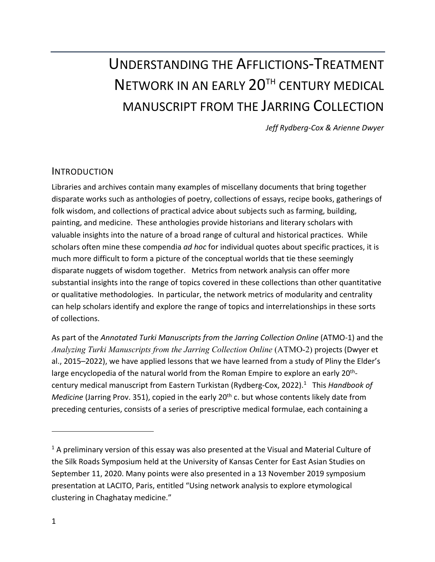# UNDERSTANDING THE AFFLICTIONS-TREATMENT NETWORK IN AN EARLY 20<sup>TH</sup> CENTURY MEDICAL MANUSCRIPT FROM THE JARRING COLLECTION

*Jeff Rydberg-Cox & Arienne Dwyer*

#### INTRODUCTION

Libraries and archives contain many examples of miscellany documents that bring together disparate works such as anthologies of poetry, collections of essays, recipe books, gatherings of folk wisdom, and collections of practical advice about subjects such as farming, building, painting, and medicine. These anthologies provide historians and literary scholars with valuable insights into the nature of a broad range of cultural and historical practices. While scholars often mine these compendia *ad hoc* for individual quotes about specific practices, it is much more difficult to form a picture of the conceptual worlds that tie these seemingly disparate nuggets of wisdom together. Metrics from network analysis can offer more substantial insights into the range of topics covered in these collections than other quantitative or qualitative methodologies. In particular, the network metrics of modularity and centrality can help scholars identify and explore the range of topics and interrelationships in these sorts of collections.

As part of the *Annotated Turki Manuscripts from the Jarring Collection Online* (ATMO-1) and the *Analyzing Turki Manuscripts from the Jarring Collection Online* (ATMO-2) projects (Dwyer et al., 2015–2022), we have applied lessons that we have learned from a study of Pliny the Elder's large encyclopedia of the natural world from the Roman Empire to explore an early 20<sup>th</sup>century medical manuscript from Eastern Turkistan (Rydberg-Cox, 2022). 1 This *Handbook of Medicine* (Jarring Prov. 351), copied in the early 20<sup>th</sup> c. but whose contents likely date from preceding centuries, consists of a series of prescriptive medical formulae, each containing a

 $<sup>1</sup>$  A preliminary version of this essay was also presented at the Visual and Material Culture of</sup> the Silk Roads Symposium held at the University of Kansas Center for East Asian Studies on September 11, 2020. Many points were also presented in a 13 November 2019 symposium presentation at LACITO, Paris, entitled "Using network analysis to explore etymological clustering in Chaghatay medicine."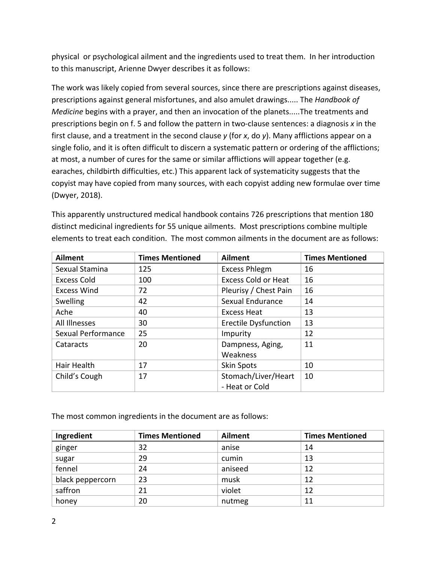physical or psychological ailment and the ingredients used to treat them. In her introduction to this manuscript, Arienne Dwyer describes it as follows:

The work was likely copied from several sources, since there are prescriptions against diseases, prescriptions against general misfortunes, and also amulet drawings..... The *Handbook of Medicine* begins with a prayer, and then an invocation of the planets.....The treatments and prescriptions begin on f. 5 and follow the pattern in two-clause sentences: a diagnosis *x* in the first clause, and a treatment in the second clause *y* (for *x*, do *y*). Many afflictions appear on a single folio, and it is often difficult to discern a systematic pattern or ordering of the afflictions; at most, a number of cures for the same or similar afflictions will appear together (e.g. earaches, childbirth difficulties, etc.) This apparent lack of systematicity suggests that the copyist may have copied from many sources, with each copyist adding new formulae over time (Dwyer, 2018).

This apparently unstructured medical handbook contains 726 prescriptions that mention 180 distinct medicinal ingredients for 55 unique ailments. Most prescriptions combine multiple elements to treat each condition. The most common ailments in the document are as follows:

| <b>Ailment</b>     | <b>Times Mentioned</b> | <b>Ailment</b>              | <b>Times Mentioned</b> |
|--------------------|------------------------|-----------------------------|------------------------|
| Sexual Stamina     | 125                    | <b>Excess Phlegm</b>        | 16                     |
| <b>Excess Cold</b> | 100                    | <b>Excess Cold or Heat</b>  | 16                     |
| <b>Excess Wind</b> | 72                     | Pleurisy / Chest Pain       | 16                     |
| Swelling           | 42                     | Sexual Endurance            | 14                     |
| Ache               | 40                     | <b>Excess Heat</b>          | 13                     |
| All Illnesses      | 30                     | <b>Erectile Dysfunction</b> | 13                     |
| Sexual Performance | 25                     | Impurity                    | 12                     |
| Cataracts          | 20                     | Dampness, Aging,            | 11                     |
|                    |                        | Weakness                    |                        |
| Hair Health        | 17                     | <b>Skin Spots</b>           | 10                     |
| Child's Cough      | 17                     | Stomach/Liver/Heart         | 10                     |
|                    |                        | - Heat or Cold              |                        |

The most common ingredients in the document are as follows:

| Ingredient       | <b>Times Mentioned</b> | <b>Ailment</b> | <b>Times Mentioned</b> |
|------------------|------------------------|----------------|------------------------|
| ginger           | 32                     | anise          | 14                     |
| sugar            | 29                     | cumin          | 13                     |
| fennel           | 24                     | aniseed        | 12                     |
| black peppercorn | 23                     | musk           | 12                     |
| saffron          | 21                     | violet         | 12                     |
| honey            | 20                     | nutmeg         | 11                     |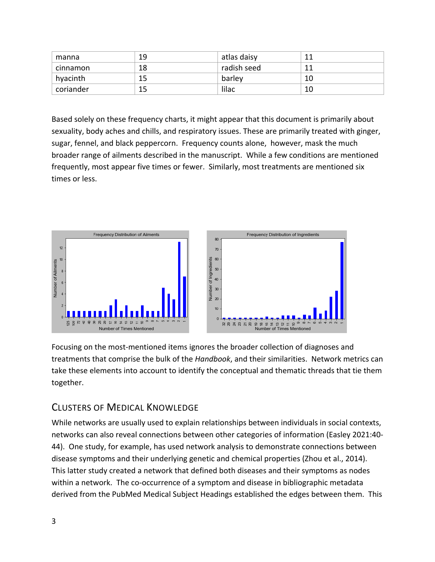| manna     | 19 | atlas daisy | 11      |
|-----------|----|-------------|---------|
| cinnamon  | 18 | radish seed | 11<br>ᅩ |
| hyacinth  |    | barley      | 10      |
| coriander | 15 | lilac       | 10      |

Based solely on these frequency charts, it might appear that this document is primarily about sexuality, body aches and chills, and respiratory issues. These are primarily treated with ginger, sugar, fennel, and black peppercorn. Frequency counts alone, however, mask the much broader range of ailments described in the manuscript. While a few conditions are mentioned frequently, most appear five times or fewer. Similarly, most treatments are mentioned six times or less.



Focusing on the most-mentioned items ignores the broader collection of diagnoses and treatments that comprise the bulk of the *Handbook*, and their similarities. Network metrics can take these elements into account to identify the conceptual and thematic threads that tie them together.

## CLUSTERS OF MEDICAL KNOWLEDGE

While networks are usually used to explain relationships between individuals in social contexts, networks can also reveal connections between other categories of information (Easley 2021:40- 44). One study, for example, has used network analysis to demonstrate connections between disease symptoms and their underlying genetic and chemical properties (Zhou et al., 2014). This latter study created a network that defined both diseases and their symptoms as nodes within a network. The co-occurrence of a symptom and disease in bibliographic metadata derived from the PubMed Medical Subject Headings established the edges between them. This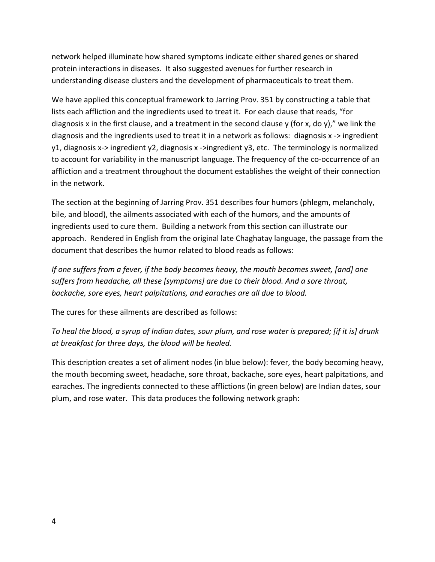network helped illuminate how shared symptoms indicate either shared genes or shared protein interactions in diseases. It also suggested avenues for further research in understanding disease clusters and the development of pharmaceuticals to treat them.

We have applied this conceptual framework to Jarring Prov. 351 by constructing a table that lists each affliction and the ingredients used to treat it. For each clause that reads, "for diagnosis x in the first clause, and a treatment in the second clause y (for x, do y)," we link the diagnosis and the ingredients used to treat it in a network as follows: diagnosis x -> ingredient y1, diagnosis x-> ingredient y2, diagnosis x ->ingredient y3, etc. The terminology is normalized to account for variability in the manuscript language. The frequency of the co-occurrence of an affliction and a treatment throughout the document establishes the weight of their connection in the network.

The section at the beginning of Jarring Prov. 351 describes four humors (phlegm, melancholy, bile, and blood), the ailments associated with each of the humors, and the amounts of ingredients used to cure them. Building a network from this section can illustrate our approach. Rendered in English from the original late Chaghatay language, the passage from the document that describes the humor related to blood reads as follows:

*If one suffers from a fever, if the body becomes heavy, the mouth becomes sweet, [and] one suffers from headache, all these [symptoms] are due to their blood. And a sore throat, backache, sore eyes, heart palpitations, and earaches are all due to blood.*

The cures for these ailments are described as follows:

*To heal the blood, a syrup of Indian dates, sour plum, and rose water is prepared; [if it is] drunk at breakfast for three days, the blood will be healed.*

This description creates a set of aliment nodes (in blue below): fever, the body becoming heavy, the mouth becoming sweet, headache, sore throat, backache, sore eyes, heart palpitations, and earaches. The ingredients connected to these afflictions (in green below) are Indian dates, sour plum, and rose water. This data produces the following network graph: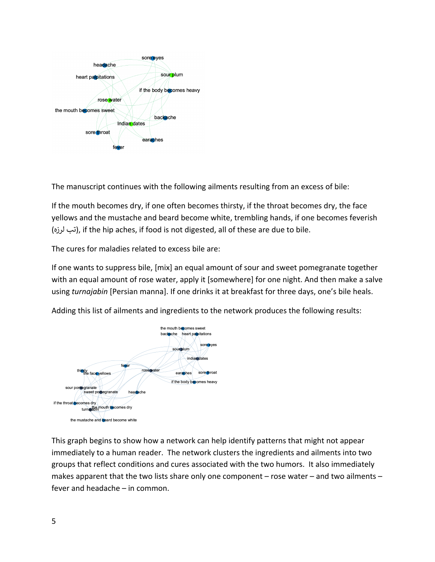

The manuscript continues with the following ailments resulting from an excess of bile:

If the mouth becomes dry, if one often becomes thirsty, if the throat becomes dry, the face yellows and the mustache and beard become white, trembling hands, if one becomes feverish (تب لرزه), if the hip aches, if food is not digested, all of these are due to bile.

The cures for maladies related to excess bile are:

If one wants to suppress bile, [mix] an equal amount of sour and sweet pomegranate together with an equal amount of rose water, apply it [somewhere] for one night. And then make a salve using *turnajabin* [Persian manna]. If one drinks it at breakfast for three days, one's bile heals.

Adding this list of ailments and ingredients to the network produces the following results:



This graph begins to show how a network can help identify patterns that might not appear immediately to a human reader. The network clusters the ingredients and ailments into two groups that reflect conditions and cures associated with the two humors. It also immediately makes apparent that the two lists share only one component – rose water – and two ailments – fever and headache – in common.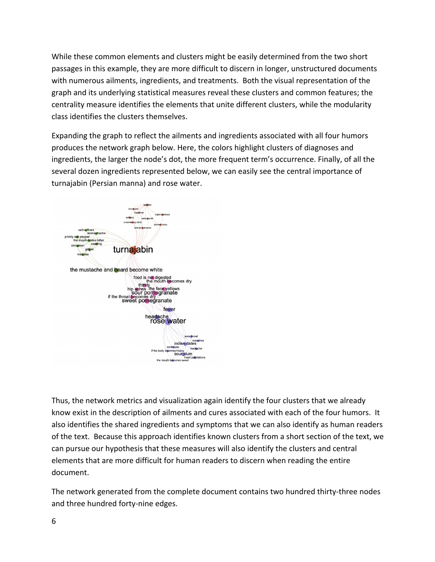While these common elements and clusters might be easily determined from the two short passages in this example, they are more difficult to discern in longer, unstructured documents with numerous ailments, ingredients, and treatments. Both the visual representation of the graph and its underlying statistical measures reveal these clusters and common features; the centrality measure identifies the elements that unite different clusters, while the modularity class identifies the clusters themselves.

Expanding the graph to reflect the ailments and ingredients associated with all four humors produces the network graph below. Here, the colors highlight clusters of diagnoses and ingredients, the larger the node's dot, the more frequent term's occurrence. Finally, of all the several dozen ingredients represented below, we can easily see the central importance of turnajabin (Persian manna) and rose water.



Thus, the network metrics and visualization again identify the four clusters that we already know exist in the description of ailments and cures associated with each of the four humors. It also identifies the shared ingredients and symptoms that we can also identify as human readers of the text. Because this approach identifies known clusters from a short section of the text, we can pursue our hypothesis that these measures will also identify the clusters and central elements that are more difficult for human readers to discern when reading the entire document.

The network generated from the complete document contains two hundred thirty-three nodes and three hundred forty-nine edges.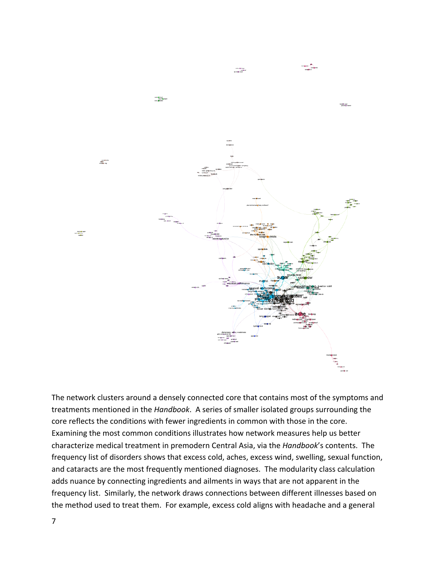

The network clusters around a densely connected core that contains most of the symptoms and treatments mentioned in the *Handbook*. A series of smaller isolated groups surrounding the core reflects the conditions with fewer ingredients in common with those in the core. Examining the most common conditions illustrates how network measures help us better characterize medical treatment in premodern Central Asia, via the *Handbook*'s contents. The frequency list of disorders shows that excess cold, aches, excess wind, swelling, sexual function, and cataracts are the most frequently mentioned diagnoses. The modularity class calculation adds nuance by connecting ingredients and ailments in ways that are not apparent in the frequency list. Similarly, the network draws connections between different illnesses based on the method used to treat them. For example, excess cold aligns with headache and a general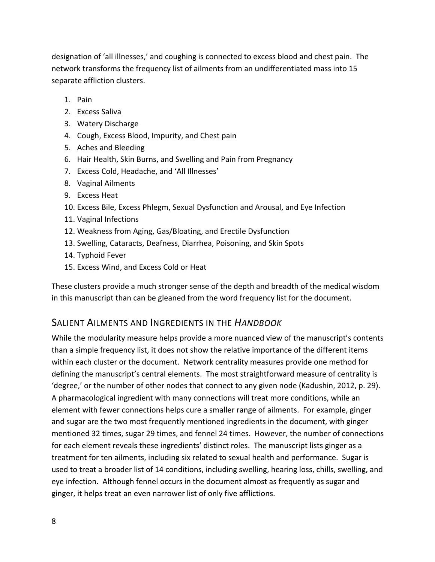designation of 'all illnesses,' and coughing is connected to excess blood and chest pain. The network transforms the frequency list of ailments from an undifferentiated mass into 15 separate affliction clusters.

- 1. Pain
- 2. Excess Saliva
- 3. Watery Discharge
- 4. Cough, Excess Blood, Impurity, and Chest pain
- 5. Aches and Bleeding
- 6. Hair Health, Skin Burns, and Swelling and Pain from Pregnancy
- 7. Excess Cold, Headache, and 'All Illnesses'
- 8. Vaginal Ailments
- 9. Excess Heat
- 10. Excess Bile, Excess Phlegm, Sexual Dysfunction and Arousal, and Eye Infection
- 11. Vaginal Infections
- 12. Weakness from Aging, Gas/Bloating, and Erectile Dysfunction
- 13. Swelling, Cataracts, Deafness, Diarrhea, Poisoning, and Skin Spots
- 14. Typhoid Fever
- 15. Excess Wind, and Excess Cold or Heat

These clusters provide a much stronger sense of the depth and breadth of the medical wisdom in this manuscript than can be gleaned from the word frequency list for the document.

### SALIENT AILMENTS AND INGREDIENTS IN THE *HANDBOOK*

While the modularity measure helps provide a more nuanced view of the manuscript's contents than a simple frequency list, it does not show the relative importance of the different items within each cluster or the document. Network centrality measures provide one method for defining the manuscript's central elements. The most straightforward measure of centrality is 'degree,' or the number of other nodes that connect to any given node (Kadushin, 2012, p. 29). A pharmacological ingredient with many connections will treat more conditions, while an element with fewer connections helps cure a smaller range of ailments. For example, ginger and sugar are the two most frequently mentioned ingredients in the document, with ginger mentioned 32 times, sugar 29 times, and fennel 24 times. However, the number of connections for each element reveals these ingredients' distinct roles. The manuscript lists ginger as a treatment for ten ailments, including six related to sexual health and performance. Sugar is used to treat a broader list of 14 conditions, including swelling, hearing loss, chills, swelling, and eye infection. Although fennel occurs in the document almost as frequently as sugar and ginger, it helps treat an even narrower list of only five afflictions.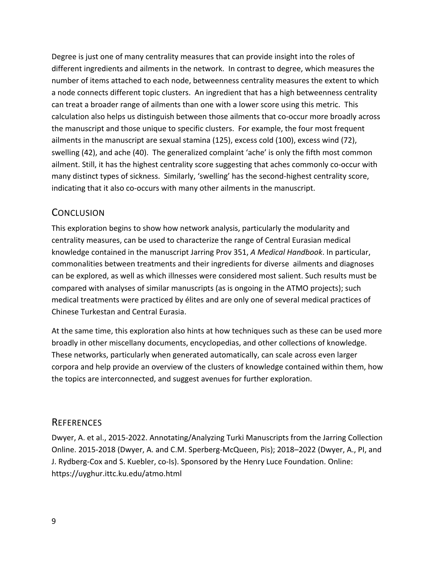Degree is just one of many centrality measures that can provide insight into the roles of different ingredients and ailments in the network. In contrast to degree, which measures the number of items attached to each node, betweenness centrality measures the extent to which a node connects different topic clusters. An ingredient that has a high betweenness centrality can treat a broader range of ailments than one with a lower score using this metric. This calculation also helps us distinguish between those ailments that co-occur more broadly across the manuscript and those unique to specific clusters. For example, the four most frequent ailments in the manuscript are sexual stamina (125), excess cold (100), excess wind (72), swelling (42), and ache (40). The generalized complaint 'ache' is only the fifth most common ailment. Still, it has the highest centrality score suggesting that aches commonly co-occur with many distinct types of sickness. Similarly, 'swelling' has the second-highest centrality score, indicating that it also co-occurs with many other ailments in the manuscript.

### **CONCLUSION**

This exploration begins to show how network analysis, particularly the modularity and centrality measures, can be used to characterize the range of Central Eurasian medical knowledge contained in the manuscript Jarring Prov 351, *A Medical Handbook*. In particular, commonalities between treatments and their ingredients for diverse ailments and diagnoses can be explored, as well as which illnesses were considered most salient. Such results must be compared with analyses of similar manuscripts (as is ongoing in the ATMO projects); such medical treatments were practiced by élites and are only one of several medical practices of Chinese Turkestan and Central Eurasia.

At the same time, this exploration also hints at how techniques such as these can be used more broadly in other miscellany documents, encyclopedias, and other collections of knowledge. These networks, particularly when generated automatically, can scale across even larger corpora and help provide an overview of the clusters of knowledge contained within them, how the topics are interconnected, and suggest avenues for further exploration.

### **REFERENCES**

Dwyer, A. et al., 2015-2022. Annotating/Analyzing Turki Manuscripts from the Jarring Collection Online. 2015-2018 (Dwyer, A. and C.M. Sperberg-McQueen, Pis); 2018–2022 (Dwyer, A., PI, and J. Rydberg-Cox and S. Kuebler, co-Is). Sponsored by the Henry Luce Foundation. Online: https://uyghur.ittc.ku.edu/atmo.html